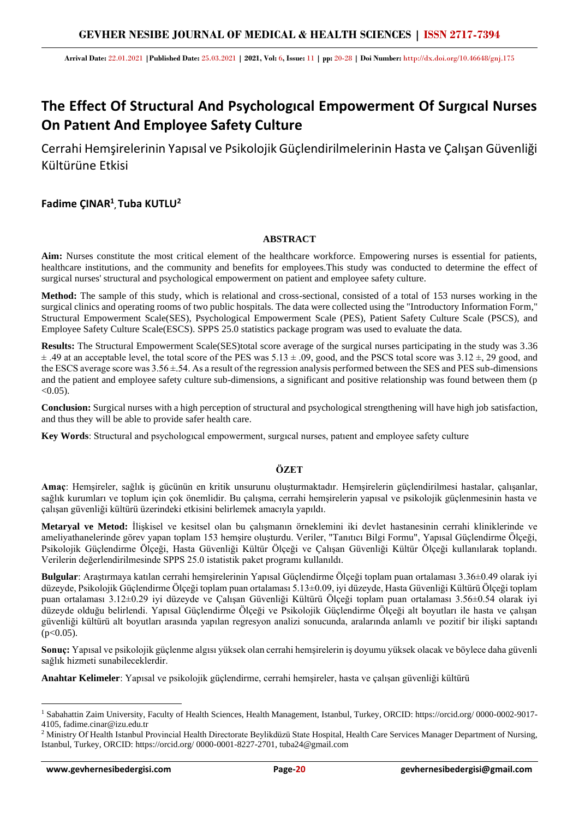**Arrival Date:** 22.01.2021 **|Published Date:** 25.03.2021 **| 2021, Vol:** 6**, Issue:** 11 **| pp:** 20-28 **| Doi Number:** http://dx.doi.org/10.46648/gnj.175

# **The Effect Of Structural And Psychologıcal Empowerment Of Surgıcal Nurses On Patıent And Employee Safety Culture**

Cerrahi Hemşirelerinin Yapısal ve Psikolojik Güçlendirilmelerinin Hasta ve Çalışan Güvenliği Kültürüne Etkisi

# **Fadime ÇINAR<sup>1</sup> , Tuba KUTLU<sup>2</sup>**

### **ABSTRACT**

Aim: Nurses constitute the most critical element of the healthcare workforce. Empowering nurses is essential for patients, healthcare institutions, and the community and benefits for employees.This study was conducted to determine the effect of surgical nurses' structural and psychological empowerment on patient and employee safety culture.

**Method:** The sample of this study, which is relational and cross-sectional, consisted of a total of 153 nurses working in the surgical clinics and operating rooms of two public hospitals. The data were collected using the "Introductory Information Form," Structural Empowerment Scale(SES), Psychological Empowerment Scale (PES), Patient Safety Culture Scale (PSCS), and Employee Safety Culture Scale(ESCS). SPPS 25.0 statistics package program was used to evaluate the data.

**Results:** The Structural Empowerment Scale(SES)total score average of the surgical nurses participating in the study was 3.36  $\pm$  .49 at an acceptable level, the total score of the PES was 5.13  $\pm$  .09, good, and the PSCS total score was 3.12  $\pm$ , 29 good, and the ESCS average score was  $3.56 \pm .54$ . As a result of the regression analysis performed between the SES and PES sub-dimensions and the patient and employee safety culture sub-dimensions, a significant and positive relationship was found between them (p  $< 0.05$ ).

**Conclusion:** Surgical nurses with a high perception of structural and psychological strengthening will have high job satisfaction, and thus they will be able to provide safer health care.

**Key Words**: Structural and psychologıcal empowerment, surgıcal nurses, patıent and employee safety culture

## **ÖZET**

**Amaç**: Hemşireler, sağlık iş gücünün en kritik unsurunu oluşturmaktadır. Hemşirelerin güçlendirilmesi hastalar, çalışanlar, sağlık kurumları ve toplum için çok önemlidir. Bu çalışma, cerrahi hemşirelerin yapısal ve psikolojik güçlenmesinin hasta ve çalışan güvenliği kültürü üzerindeki etkisini belirlemek amacıyla yapıldı.

**Metaryal ve Metod:** İlişkisel ve kesitsel olan bu çalışmanın örneklemini iki devlet hastanesinin cerrahi kliniklerinde ve ameliyathanelerinde görev yapan toplam 153 hemşire oluşturdu. Veriler, "Tanıtıcı Bilgi Formu", Yapısal Güçlendirme Ölçeği, Psikolojik Güçlendirme Ölçeği, Hasta Güvenliği Kültür Ölçeği ve Çalışan Güvenliği Kültür Ölçeği kullanılarak toplandı. Verilerin değerlendirilmesinde SPPS 25.0 istatistik paket programı kullanıldı.

**Bulgular**: Araştırmaya katılan cerrahi hemşirelerinin Yapısal Güçlendirme Ölçeği toplam puan ortalaması 3.36±0.49 olarak iyi düzeyde, Psikolojik Güçlendirme Ölçeği toplam puan ortalaması 5.13±0.09, iyi düzeyde, Hasta Güvenliği Kültürü Ölçeği toplam puan ortalaması 3.12±0.29 iyi düzeyde ve Çalışan Güvenliği Kültürü Ölçeği toplam puan ortalaması 3.56±0.54 olarak iyi düzeyde olduğu belirlendi. Yapısal Güçlendirme Ölçeği ve Psikolojik Güçlendirme Ölçeği alt boyutları ile hasta ve çalışan güvenliği kültürü alt boyutları arasında yapılan regresyon analizi sonucunda, aralarında anlamlı ve pozitif bir ilişki saptandı  $(p<0.05)$ .

**Sonuç:** Yapısal ve psikolojik güçlenme algısı yüksek olan cerrahi hemşirelerin iş doyumu yüksek olacak ve böylece daha güvenli sağlık hizmeti sunabileceklerdir.

**Anahtar Kelimeler**: Yapısal ve psikolojik güçlendirme, cerrahi hemşireler, hasta ve çalışan güvenliği kültürü

<sup>1</sup> Sabahattin Zaim University, Faculty of Health Sciences, Health Management, Istanbul, Turkey, ORCID: https://orcid.org/ 0000-0002-9017- 4105, [fadime.cinar@izu.edu.tr](mailto:fadime.cinar@izu.edu.tr)

<sup>&</sup>lt;sup>2</sup> Ministry Of Health Istanbul Provincial Health Directorate Beylikdüzü State Hospital, Health Care Services Manager Department of Nursing, Istanbul, Turkey, ORCID: https://orcid.org/ 0000-0001-8227-2701, [tuba24@gmail.com](mailto:tuba24@gmail.com)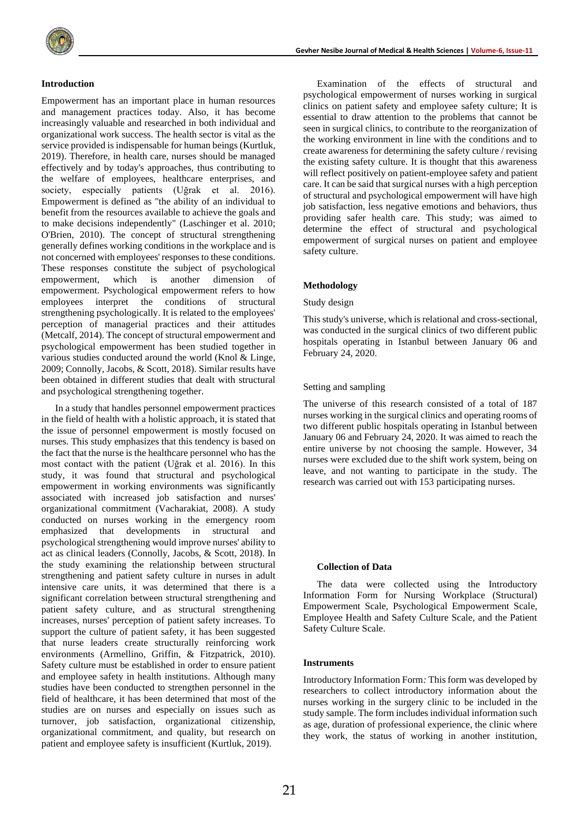#### **Introduction**

Empowerment has an important place in human resources and management practices today. Also, it has become increasingly valuable and researched in both individual and organizational work success. The health sector is vital as the service provided is indispensable for human beings (Kurtluk, 2019). Therefore, in health care, nurses should be managed effectively and by today's approaches, thus contributing to the welfare of employees, healthcare enterprises, and society, especially patients (Uğrak et al. 2016). Empowerment is defined as "the ability of an individual to benefit from the resources available to achieve the goals and to make decisions independently" (Laschinger et al. 2010; O'Brien, 2010). The concept of structural strengthening generally defines working conditions in the workplace and is not concerned with employees' responses to these conditions. These responses constitute the subject of psychological empowerment, which is another dimension of empowerment. Psychological empowerment refers to how employees interpret the conditions of structural strengthening psychologically. It is related to the employees' perception of managerial practices and their attitudes (Metcalf, 2014). The concept of structural empowerment and psychological empowerment has been studied together in various studies conducted around the world (Knol & Linge, 2009; Connolly, Jacobs, & Scott, 2018). Similar results have been obtained in different studies that dealt with structural and psychological strengthening together.

In a study that handles personnel empowerment practices in the field of health with a holistic approach, it is stated that the issue of personnel empowerment is mostly focused on nurses. This study emphasizes that this tendency is based on the fact that the nurse is the healthcare personnel who has the most contact with the patient (Uğrak et al. 2016). In this study, it was found that structural and psychological empowerment in working environments was significantly associated with increased job satisfaction and nurses' organizational commitment (Vacharakiat, 2008). A study conducted on nurses working in the emergency room emphasized that developments in structural and psychological strengthening would improve nurses' ability to act as clinical leaders (Connolly, Jacobs, & Scott, 2018). In the study examining the relationship between structural strengthening and patient safety culture in nurses in adult intensive care units, it was determined that there is a significant correlation between structural strengthening and patient safety culture, and as structural strengthening increases, nurses' perception of patient safety increases. To support the culture of patient safety, it has been suggested that nurse leaders create structurally reinforcing work environments (Armellino, Griffin, & Fitzpatrick, 2010). Safety culture must be established in order to ensure patient and employee safety in health institutions. Although many studies have been conducted to strengthen personnel in the field of healthcare, it has been determined that most of the studies are on nurses and especially on issues such as turnover, job satisfaction, organizational citizenship, organizational commitment, and quality, but research on patient and employee safety is insufficient (Kurtluk, 2019).

Examination of the effects of structural and psychological empowerment of nurses working in surgical clinics on patient safety and employee safety culture; It is essential to draw attention to the problems that cannot be seen in surgical clinics, to contribute to the reorganization of the working environment in line with the conditions and to create awareness for determining the safety culture / revising the existing safety culture. It is thought that this awareness will reflect positively on patient-employee safety and patient care. It can be said that surgical nurses with a high perception of structural and psychological empowerment will have high job satisfaction, less negative emotions and behaviors, thus providing safer health care. This study; was aimed to determine the effect of structural and psychological empowerment of surgical nurses on patient and employee safety culture.

#### **Methodology**

#### Study design

This study's universe, which is relational and cross-sectional, was conducted in the surgical clinics of two different public hospitals operating in Istanbul between January 06 and February 24, 2020.

#### Setting and sampling

The universe of this research consisted of a total of 187 nurses working in the surgical clinics and operating rooms of two different public hospitals operating in Istanbul between January 06 and February 24, 2020. It was aimed to reach the entire universe by not choosing the sample. However, 34 nurses were excluded due to the shift work system, being on leave, and not wanting to participate in the study. The research was carried out with 153 participating nurses.

#### **Collection of Data**

The data were collected using the Introductory Information Form for Nursing Workplace (Structural) Empowerment Scale, Psychological Empowerment Scale, Employee Health and Safety Culture Scale, and the Patient Safety Culture Scale.

#### **Instruments**

Introductory Information Form*:* This form was developed by researchers to collect introductory information about the nurses working in the surgery clinic to be included in the study sample. The form includes individual information such as age, duration of professional experience, the clinic where they work, the status of working in another institution,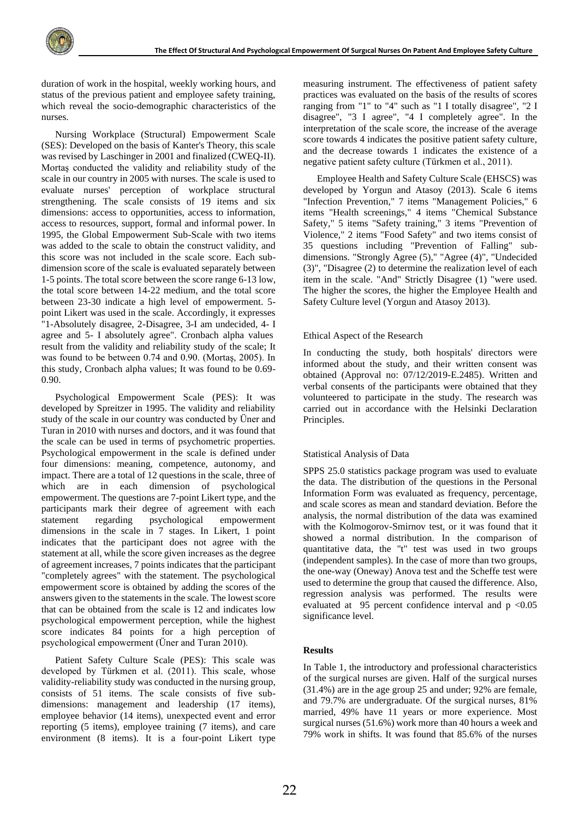duration of work in the hospital, weekly working hours, and status of the previous patient and employee safety training, which reveal the socio-demographic characteristics of the nurses.

Nursing Workplace (Structural) Empowerment Scale (SES): Developed on the basis of Kanter's Theory, this scale was revised by Laschinger in 2001 and finalized (CWEQ-II). Mortaş conducted the validity and reliability study of the scale in our country in 2005 with nurses. The scale is used to evaluate nurses' perception of workplace structural strengthening. The scale consists of 19 items and six dimensions: access to opportunities, access to information, access to resources, support, formal and informal power. In 1995, the Global Empowerment Sub-Scale with two items was added to the scale to obtain the construct validity, and this score was not included in the scale score. Each subdimension score of the scale is evaluated separately between 1-5 points. The total score between the score range 6-13 low, the total score between 14-22 medium, and the total score between 23-30 indicate a high level of empowerment. 5 point Likert was used in the scale. Accordingly, it expresses "1-Absolutely disagree, 2-Disagree, 3-I am undecided, 4- I agree and 5- I absolutely agree". Cronbach alpha values result from the validity and reliability study of the scale; It was found to be between 0.74 and 0.90. (Mortaş, 2005). In this study, Cronbach alpha values; It was found to be 0.69- 0.90.

Psychological Empowerment Scale (PES): It was developed by Spreitzer in 1995. The validity and reliability study of the scale in our country was conducted by Üner and Turan in 2010 with nurses and doctors, and it was found that the scale can be used in terms of psychometric properties. Psychological empowerment in the scale is defined under four dimensions: meaning, competence, autonomy, and impact. There are a total of 12 questions in the scale, three of which are in each dimension of psychological empowerment. The questions are 7-point Likert type, and the participants mark their degree of agreement with each statement regarding psychological empowerment dimensions in the scale in 7 stages. In Likert, 1 point indicates that the participant does not agree with the statement at all, while the score given increases as the degree of agreement increases, 7 points indicates that the participant "completely agrees" with the statement. The psychological empowerment score is obtained by adding the scores of the answers given to the statements in the scale. The lowest score that can be obtained from the scale is 12 and indicates low psychological empowerment perception, while the highest score indicates 84 points for a high perception of psychological empowerment (Üner and Turan 2010).

Patient Safety Culture Scale (PES): This scale was developed by Türkmen et al. (2011). This scale, whose validity-reliability study was conducted in the nursing group, consists of 51 items. The scale consists of five subdimensions: management and leadership (17 items), employee behavior (14 items), unexpected event and error reporting (5 items), employee training (7 items), and care environment (8 items). It is a four-point Likert type

measuring instrument. The effectiveness of patient safety practices was evaluated on the basis of the results of scores ranging from "1" to "4" such as "1 I totally disagree", "2 I disagree", "3 I agree", "4 I completely agree". In the interpretation of the scale score, the increase of the average score towards 4 indicates the positive patient safety culture, and the decrease towards 1 indicates the existence of a negative patient safety culture (Türkmen et al., 2011).

Employee Health and Safety Culture Scale (EHSCS) was developed by Yorgun and Atasoy (2013). Scale 6 items "Infection Prevention," 7 items "Management Policies," 6 items "Health screenings," 4 items "Chemical Substance Safety," 5 items "Safety training," 3 items "Prevention of Violence," 2 items "Food Safety" and two items consist of 35 questions including "Prevention of Falling" subdimensions. "Strongly Agree (5)," "Agree (4)", "Undecided (3)", "Disagree (2) to determine the realization level of each item in the scale. "And" Strictly Disagree (1) "were used. The higher the scores, the higher the Employee Health and Safety Culture level (Yorgun and Atasoy 2013).

#### Ethical Aspect of the Research

In conducting the study, both hospitals' directors were informed about the study, and their written consent was obtained (Approval no: 07/12/2019-E.2485). Written and verbal consents of the participants were obtained that they volunteered to participate in the study. The research was carried out in accordance with the Helsinki Declaration Principles.

#### Statistical Analysis of Data

SPPS 25.0 statistics package program was used to evaluate the data. The distribution of the questions in the Personal Information Form was evaluated as frequency, percentage, and scale scores as mean and standard deviation. Before the analysis, the normal distribution of the data was examined with the Kolmogorov-Smirnov test, or it was found that it showed a normal distribution. In the comparison of quantitative data, the "t" test was used in two groups (independent samples). In the case of more than two groups, the one-way (Oneway) Anova test and the Scheffe test were used to determine the group that caused the difference. Also, regression analysis was performed. The results were evaluated at  $95$  percent confidence interval and  $p < 0.05$ significance level.

#### **Results**

In Table 1, the introductory and professional characteristics of the surgical nurses are given. Half of the surgical nurses (31.4%) are in the age group 25 and under; 92% are female, and 79.7% are undergraduate. Of the surgical nurses, 81% married, 49% have 11 years or more experience. Most surgical nurses (51.6%) work more than 40 hours a week and 79% work in shifts. It was found that 85.6% of the nurses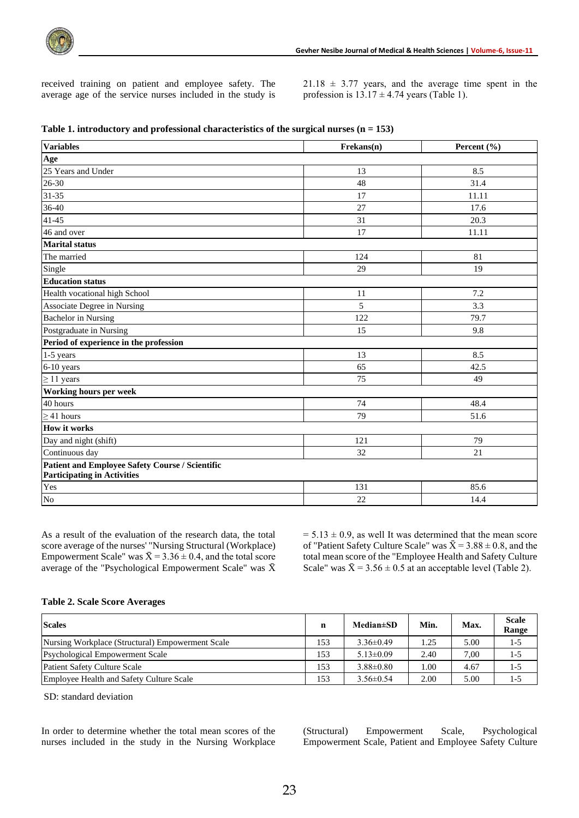received training on patient and employee safety. The average age of the service nurses included in the study is  $21.18 \pm 3.77$  years, and the average time spent in the profession is  $13.17 \pm 4.74$  years (Table 1).

| <b>Variables</b>                                                                      | Frekans(n) | Percent $(\% )$ |
|---------------------------------------------------------------------------------------|------------|-----------------|
| Age                                                                                   |            |                 |
| 25 Years and Under                                                                    | 13         | 8.5             |
| 26-30                                                                                 | 48         | 31.4            |
| 31-35                                                                                 | 17         | 11.11           |
| 36-40                                                                                 | 27         | 17.6            |
| 41-45                                                                                 | 31         | 20.3            |
| 46 and over                                                                           | 17         | 11.11           |
| Marital status                                                                        |            |                 |
| The married                                                                           | 124        | 81              |
| Single                                                                                | 29         | 19              |
| <b>Education status</b>                                                               |            |                 |
| Health vocational high School                                                         | 11         | 7.2             |
| Associate Degree in Nursing                                                           | 5          | 3.3             |
| <b>Bachelor</b> in Nursing                                                            | 122        | 79.7            |
| Postgraduate in Nursing                                                               | 15         | 9.8             |
| Period of experience in the profession                                                |            |                 |
| 1-5 years                                                                             | 13         | 8.5             |
| 6-10 years                                                                            | 65         | 42.5            |
| $\geq$ 11 years                                                                       | 75         | 49              |
| Working hours per week                                                                |            |                 |
| 40 hours                                                                              | 74         | 48.4            |
| $\geq$ 41 hours                                                                       | 79         | 51.6            |
| <b>How it works</b>                                                                   |            |                 |
| Day and night (shift)                                                                 | 121        | 79              |
| Continuous day                                                                        | 32         | 21              |
| Patient and Employee Safety Course / Scientific<br><b>Participating in Activities</b> |            |                 |
| Yes                                                                                   | 131        | 85.6            |
| No                                                                                    | 22         | 14.4            |

|  |  |  | Table 1. introductory and professional characteristics of the surgical nurses $(n = 153)$ |  |  |  |  |  |
|--|--|--|-------------------------------------------------------------------------------------------|--|--|--|--|--|
|--|--|--|-------------------------------------------------------------------------------------------|--|--|--|--|--|

As a result of the evaluation of the research data, the total score average of the nurses' "Nursing Structural (Workplace) Empowerment Scale" was  $\bar{X} = 3.36 \pm 0.4$ , and the total score average of the "Psychological Empowerment Scale" was  $\bar{X}$ 

 $= 5.13 \pm 0.9$ , as well It was determined that the mean score of "Patient Safety Culture Scale" was  $\bar{X} = 3.88 \pm 0.8$ , and the total mean score of the "Employee Health and Safety Culture Scale" was  $\bar{X} = 3.56 \pm 0.5$  at an acceptable level (Table 2).

#### **Table 2. Scale Score Averages**

| <b>Scales</b>                                    | n   | <b>Median</b> ±SD | Min. | Max. | <b>Scale</b><br>Range |
|--------------------------------------------------|-----|-------------------|------|------|-----------------------|
| Nursing Workplace (Structural) Empowerment Scale | 153 | $3.36 \pm 0.49$   | 1.25 | 5.00 | 1-5                   |
| <b>Psychological Empowerment Scale</b>           | 153 | $5.13 \pm 0.09$   | 2.40 | 7.00 | 1-5                   |
| <b>Patient Safety Culture Scale</b>              | 153 | $3.88 \pm 0.80$   | 1.00 | 4.67 | 1-5                   |
| Employee Health and Safety Culture Scale         | 153 | $3.56 \pm 0.54$   | 2.00 | 5.00 | 1-5                   |

SD: standard deviation

In order to determine whether the total mean scores of the nurses included in the study in the Nursing Workplace (Structural) Empowerment Scale, Psychological Empowerment Scale, Patient and Employee Safety Culture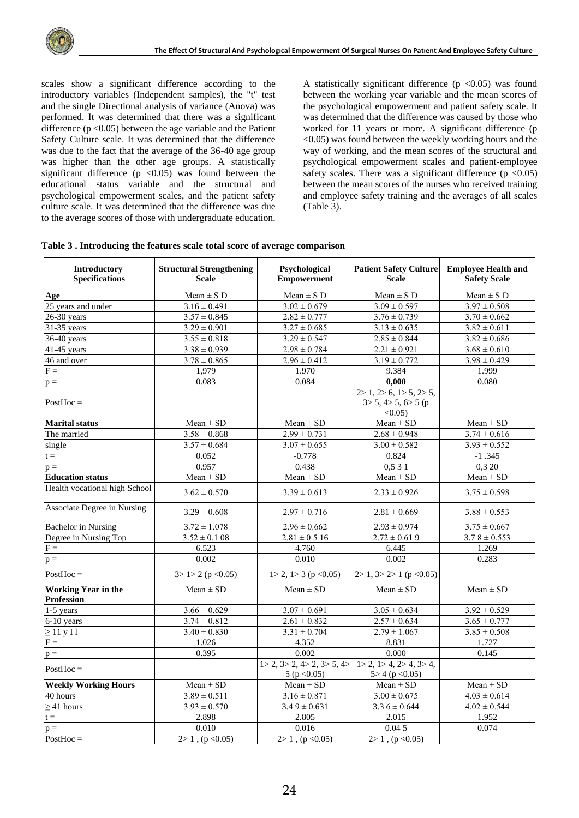scales show a significant difference according to the introductory variables (Independent samples), the "t" test and the single Directional analysis of variance (Anova) was performed. It was determined that there was a significant difference  $(p < 0.05)$  between the age variable and the Patient Safety Culture scale. It was determined that the difference was due to the fact that the average of the 36-40 age group was higher than the other age groups. A statistically significant difference  $(p \lt 0.05)$  was found between the educational status variable and the structural and psychological empowerment scales, and the patient safety culture scale. It was determined that the difference was due to the average scores of those with undergraduate education. A statistically significant difference  $(p \lt 0.05)$  was found between the working year variable and the mean scores of the psychological empowerment and patient safety scale. It was determined that the difference was caused by those who worked for 11 years or more. A significant difference (p <0.05) was found between the weekly working hours and the way of working, and the mean scores of the structural and psychological empowerment scales and patient-employee safety scales. There was a significant difference  $(p \le 0.05)$ between the mean scores of the nurses who received training and employee safety training and the averages of all scales (Table 3).

| Introductory<br><b>Specifications</b>    | <b>Structural Strengthening</b><br><b>Scale</b> | Psychological<br><b>Empowerment</b>                                 | <b>Patient Safety Culture</b><br><b>Scale</b>                                         | <b>Employee Health and</b><br><b>Safety Scale</b> |
|------------------------------------------|-------------------------------------------------|---------------------------------------------------------------------|---------------------------------------------------------------------------------------|---------------------------------------------------|
| Age                                      | $Mean \pm S$ D                                  | $Mean \pm S$ D                                                      | $Mean \pm S$ D                                                                        | $Mean \pm S$ D                                    |
| 25 years and under                       | $3.16 \pm 0.491$                                | $3.02 \pm 0.679$                                                    | $3.09 \pm 0.597$                                                                      | $3.97 \pm 0.508$                                  |
| $26-30$ years                            | $3.57 \pm 0.845$                                | $2.82 \pm 0.777$                                                    | $3.76 \pm 0.739$                                                                      | $3.70 \pm 0.662$                                  |
| 31-35 years                              | $3.29 \pm 0.901$                                | $3.27 \pm 0.685$                                                    | $3.13 \pm 0.635$                                                                      | $3.82 \pm 0.611$                                  |
| 36-40 years                              | $3.55 \pm 0.818$                                | $3.29 \pm 0.547$                                                    | $2.85 \pm 0.844$                                                                      | $3.82 \pm 0.686$                                  |
| 41-45 years                              | $3.38 \pm 0.939$                                | $2.98 \pm 0.784$                                                    | $2.21 \pm 0.921$                                                                      | $3.68 \pm 0.610$                                  |
| 46 and over                              | $3.78 \pm 0.865$                                | $2.96 \pm 0.412$                                                    | $3.19 \pm 0.772$                                                                      | $3.98 \pm 0.429$                                  |
| $F =$                                    | 1,979                                           | 1.970                                                               | 9.384                                                                                 | 1.999                                             |
| $p =$                                    | 0.083                                           | 0.084                                                               | 0,000                                                                                 | 0.080                                             |
| $PostHoc =$                              |                                                 |                                                                     | $\overline{2}$ 2> 1, 2> 6, 1> 5, 2> 5,<br>$3 > 5$ , $4 > 5$ , $6 > 5$ (p<br>$<0.05$ ) |                                                   |
| <b>Marital status</b>                    | $Mean \pm SD$                                   | $Mean \pm SD$                                                       | $Mean \pm SD$                                                                         | $Mean \pm SD$                                     |
| The married                              | $3.58 \pm 0.868$                                | $2.99 \pm 0.731$                                                    | $2.68 \pm 0.948$                                                                      | $3.74 \pm 0.616$                                  |
| single                                   | $3.57 \pm 0.684$                                | $3.07 \pm 0.655$                                                    | $3.00 \pm 0.582$                                                                      | $3.93 \pm 0.552$                                  |
| $t =$                                    | 0.052                                           | $-0.778$                                                            | 0.824                                                                                 | $-1.345$                                          |
| $p =$                                    | 0.957                                           | 0.438                                                               | 0,531                                                                                 | 0,320                                             |
| <b>Education status</b>                  | $Mean \pm SD$                                   | $Mean \pm SD$                                                       | $Mean \pm SD$                                                                         | $Mean \pm SD$                                     |
| Health vocational high School            | $3.62 \pm 0.570$                                | $3.39 \pm 0.613$                                                    | $2.33 \pm 0.926$                                                                      | $3.75 \pm 0.598$                                  |
| Associate Degree in Nursing              | $3.29 \pm 0.608$                                | $2.97 \pm 0.716$                                                    | $2.81 \pm 0.669$                                                                      | $3.88 \pm 0.553$                                  |
| <b>Bachelor</b> in Nursing               | $3.72 \pm 1.078$                                | $2.96 \pm 0.662$                                                    | $2.93 \pm 0.974$                                                                      | $3.75 \pm 0.667$                                  |
| Degree in Nursing Top                    | $3.52 \pm 0.108$                                | $2.81 \pm 0.5$ 16                                                   | $2.72 \pm 0.619$                                                                      | $3.78 \pm 0.553$                                  |
| $F =$                                    | 6.523                                           | 4.760                                                               | 6.445                                                                                 | 1.269                                             |
| $p =$                                    | 0.002                                           | 0.010                                                               | 0.002                                                                                 | 0.283                                             |
| $PostHoc =$                              | $3 > 1 > 2$ (p < 0.05)                          | $1 > 2$ , $1 > 3$ (p < 0.05)                                        | $2>1$ , $3>2>1$ (p < 0.05)                                                            |                                                   |
| <b>Working Year in the</b><br>Profession | $Mean \pm SD$                                   | $Mean \pm SD$                                                       | $Mean \pm SD$                                                                         | $Mean \pm SD$                                     |
| $1-5$ years                              | $3.66 \pm 0.629$                                | $3.07 \pm 0.691$                                                    | $3.05 \pm 0.634$                                                                      | $3.92 \pm 0.529$                                  |
| 6-10 years                               | $3.74 \pm 0.812$                                | $2.61 \pm 0.832$                                                    | $2.57 \pm 0.634$                                                                      | $3.65 \pm 0.777$                                  |
| $\geq 11$ y I l                          | $3.40 \pm 0.830$                                | $3.31 \pm 0.704$                                                    | $2.79 \pm 1.067$                                                                      | $3.85 \pm 0.508$                                  |
| $F =$                                    | 1.026                                           | 4.352                                                               | 8.831                                                                                 | 1.727                                             |
| $p =$                                    | 0.395                                           | 0.002                                                               | 0.000                                                                                 | 0.145                                             |
| $PostHoc =$                              |                                                 | $1 > 2$ , $3 > 2$ , $4 > 2$ , $3 > 5$ , $4 > 1$<br>5 ( $p < 0.05$ ) | $1 > 2$ , $1 > 4$ , $2 > 4$ , $3 > 4$ ,<br>$5 > 4$ (p < 0.05)                         |                                                   |
| <b>Weekly Working Hours</b>              | $Mean \pm SD$                                   | $\overline{Mean}$ ± SD                                              | $Mean \pm SD$                                                                         | $Mean \pm SD$                                     |
| 40 hours                                 | $3.89 \pm 0.511$                                | $3.16 \pm 0.871$                                                    | $3.00 \pm 0.675$                                                                      | $4.03 \pm 0.614$                                  |
| $\geq$ 41 hours                          | $3.93 \pm 0.570$                                | $3.49 \pm 0.631$                                                    | $3.36 \pm 0.644$                                                                      | $4.02 \pm 0.544$                                  |
| $t =$                                    | 2.898                                           | 2.805                                                               | 2.015                                                                                 | 1.952                                             |
| $p =$                                    | 0.010                                           | 0.016                                                               | 0.045                                                                                 | 0.074                                             |
| $PostHoc =$                              | $2>1$ , (p < 0.05)                              | $2>1$ , (p < 0.05)                                                  | $\overline{2}$ 2> 1, (p < 0.05)                                                       |                                                   |

#### **Table 3 . Introducing the features scale total score of average comparison**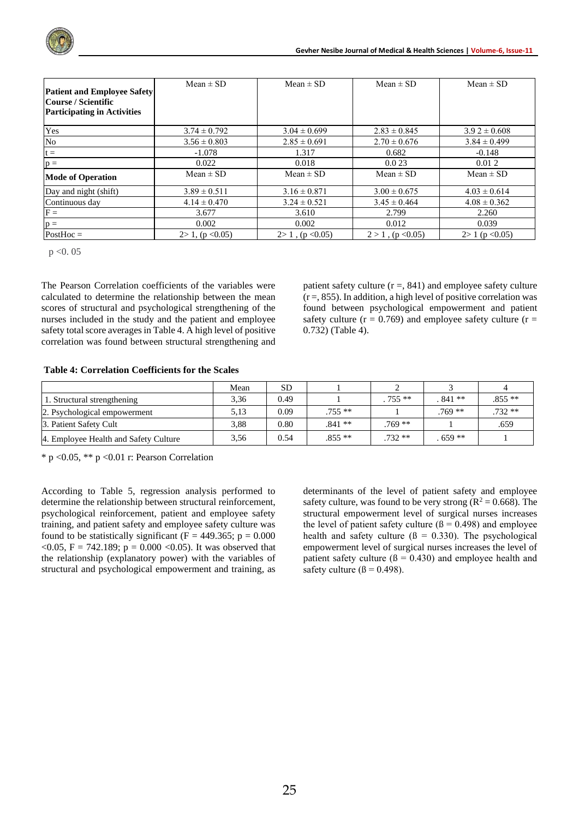| <b>Patient and Employee Safety</b><br> Course / Scientific<br><b>Participating in Activities</b> | Mean $\pm$ SD        | Mean $\pm$ SD      | $Mean \pm SD$        | $Mean \pm SD$    |
|--------------------------------------------------------------------------------------------------|----------------------|--------------------|----------------------|------------------|
| Yes                                                                                              | $3.74 \pm 0.792$     | $3.04 \pm 0.699$   | $2.83 \pm 0.845$     | $3.92 \pm 0.608$ |
| No                                                                                               | $3.56 \pm 0.803$     | $2.85 \pm 0.691$   | $2.70 \pm 0.676$     | $3.84 \pm 0.499$ |
| $t =$                                                                                            | $-1.078$             | 1.317              | 0.682                | $-0.148$         |
| $p =$                                                                                            | 0.022                | 0.018              | 0.023                | 0.012            |
| <b>Mode of Operation</b>                                                                         | $Mean \pm SD$        | $Mean \pm SD$      | $Mean \pm SD$        | $Mean \pm SD$    |
| Day and night (shift)                                                                            | $3.89 \pm 0.511$     | $3.16 \pm 0.871$   | $3.00 \pm 0.675$     | $4.03 \pm 0.614$ |
| Continuous day                                                                                   | $4.14 \pm 0.470$     | $3.24 \pm 0.521$   | $3.45 \pm 0.464$     | $4.08 \pm 0.362$ |
| $F =$                                                                                            | 3.677                | 3.610              | 2.799                | 2.260            |
| $p =$                                                                                            | 0.002                | 0.002              | 0.012                | 0.039            |
| $PostHoc =$                                                                                      | $2 > 1$ , (p < 0.05) | $2>1$ , (p < 0.05) | $2 > 1$ , (p < 0.05) | $2>1$ (p < 0.05) |

 $p < 0.05$ 

The Pearson Correlation coefficients of the variables were calculated to determine the relationship between the mean scores of structural and psychological strengthening of the nurses included in the study and the patient and employee safety total score averages in Table 4. A high level of positive correlation was found between structural strengthening and patient safety culture  $(r =, 841)$  and employee safety culture  $(r =, 855)$ . In addition, a high level of positive correlation was found between psychological empowerment and patient safety culture ( $r = 0.769$ ) and employee safety culture ( $r =$ 0.732) (Table 4).

#### **Table 4: Correlation Coefficients for the Scales**

|                                       | Mean | SD.  |          |          |          |          |
|---------------------------------------|------|------|----------|----------|----------|----------|
| 1. Structural strengthening           | 3.36 | 0.49 |          | $.755**$ | $841**$  | $.855**$ |
| 2. Psychological empowerment          | 5.13 | 0.09 | $.755**$ |          | $.769**$ | $.732**$ |
| 3. Patient Safety Cult                | 3.88 | 0.80 | $.841**$ | $.769**$ |          | .659     |
| 4. Employee Health and Safety Culture | 3,56 | 0.54 | $.855**$ | $.732**$ | $659**$  |          |

 $*$  p <0.05,  $**$  p <0.01 r: Pearson Correlation

According to Table 5, regression analysis performed to determine the relationship between structural reinforcement, psychological reinforcement, patient and employee safety training, and patient safety and employee safety culture was found to be statistically significant ( $F = 449.365$ ;  $p = 0.000$  $<$  0.05, F = 742.189; p = 0.000  $<$  0.05). It was observed that the relationship (explanatory power) with the variables of structural and psychological empowerment and training, as

determinants of the level of patient safety and employee safety culture, was found to be very strong ( $R^2 = 0.668$ ). The structural empowerment level of surgical nurses increases the level of patient safety culture  $(β = 0.498)$  and employee health and safety culture ( $\beta = 0.330$ ). The psychological empowerment level of surgical nurses increases the level of patient safety culture  $(β = 0.430)$  and employee health and safety culture  $(\beta = 0.498)$ .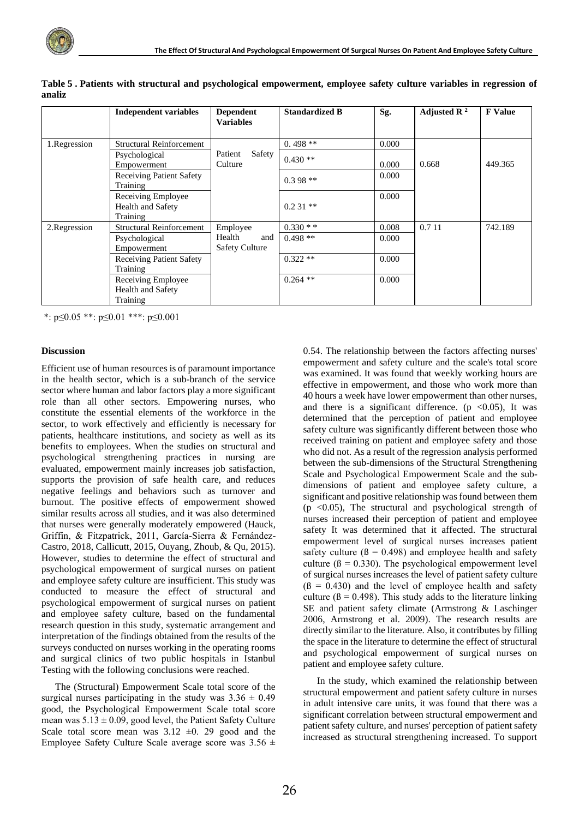|               | <b>Independent variables</b>                        | <b>Dependent</b><br><b>Variables</b>   | <b>Standardized B</b> | Sg.   | Adjusted R $^2$ | <b>F</b> Value |
|---------------|-----------------------------------------------------|----------------------------------------|-----------------------|-------|-----------------|----------------|
| 1.Regression  | <b>Structural Reinforcement</b>                     |                                        | $0.498**$             | 0.000 |                 |                |
|               | Psychological<br>Empowerment                        | Safety<br>Patient<br>Culture           | $0.430**$             | 0.000 | 0.668           | 449.365        |
|               | <b>Receiving Patient Safety</b><br>Training         |                                        | $0.398**$             | 0.000 |                 |                |
|               | Receiving Employee<br>Health and Safety<br>Training |                                        | $0.231**$             | 0.000 |                 |                |
| 2. Regression | <b>Structural Reinforcement</b>                     | Employee                               | $0.330**$             | 0.008 | 0.7 11          | 742.189        |
|               | Psychological<br>Empowerment                        | Health<br>and<br><b>Safety Culture</b> | $0.498**$             | 0.000 |                 |                |
|               | <b>Receiving Patient Safety</b><br>Training         |                                        | $0.322**$             | 0.000 |                 |                |
|               | Receiving Employee<br>Health and Safety<br>Training |                                        | $0.264$ **            | 0.000 |                 |                |

**Table 5 . Patients with structural and psychological empowerment, employee safety culture variables in regression of analiz** 

\*: p≤0.05 \*\*: p≤0.01 \*\*\*: p≤0.001

#### **Discussion**

Efficient use of human resources is of paramount importance in the health sector, which is a sub-branch of the service sector where human and labor factors play a more significant role than all other sectors. Empowering nurses, who constitute the essential elements of the workforce in the sector, to work effectively and efficiently is necessary for patients, healthcare institutions, and society as well as its benefits to employees. When the studies on structural and psychological strengthening practices in nursing are evaluated, empowerment mainly increases job satisfaction, supports the provision of safe health care, and reduces negative feelings and behaviors such as turnover and burnout. The positive effects of empowerment showed similar results across all studies, and it was also determined that nurses were generally moderately empowered (Hauck, Griffin, & Fitzpatrick, 2011, García-Sierra & Fernández-Castro, 2018, Callicutt, 2015, Ouyang, Zhoub, & Qu, 2015). However, studies to determine the effect of structural and psychological empowerment of surgical nurses on patient and employee safety culture are insufficient. This study was conducted to measure the effect of structural and psychological empowerment of surgical nurses on patient and employee safety culture, based on the fundamental research question in this study, systematic arrangement and interpretation of the findings obtained from the results of the surveys conducted on nurses working in the operating rooms and surgical clinics of two public hospitals in Istanbul Testing with the following conclusions were reached.

The (Structural) Empowerment Scale total score of the surgical nurses participating in the study was  $3.36 \pm 0.49$ good, the Psychological Empowerment Scale total score mean was  $5.13 \pm 0.09$ , good level, the Patient Safety Culture Scale total score mean was  $3.12 \pm 0.29$  good and the Employee Safety Culture Scale average score was  $3.56 \pm$ 

0.54. The relationship between the factors affecting nurses' empowerment and safety culture and the scale's total score was examined. It was found that weekly working hours are effective in empowerment, and those who work more than 40 hours a week have lower empowerment than other nurses, and there is a significant difference. ( $p \lt 0.05$ ), It was determined that the perception of patient and employee safety culture was significantly different between those who received training on patient and employee safety and those who did not. As a result of the regression analysis performed between the sub-dimensions of the Structural Strengthening Scale and Psychological Empowerment Scale and the subdimensions of patient and employee safety culture, a significant and positive relationship was found between them (p  $\leq$ 0.05), The structural and psychological strength of nurses increased their perception of patient and employee safety It was determined that it affected. The structural empowerment level of surgical nurses increases patient safety culture ( $\beta = 0.498$ ) and employee health and safety culture ( $\beta = 0.330$ ). The psychological empowerment level of surgical nurses increases the level of patient safety culture  $(β = 0.430)$  and the level of employee health and safety culture ( $\beta = 0.498$ ). This study adds to the literature linking SE and patient safety climate (Armstrong & Laschinger 2006, Armstrong et al. 2009). The research results are directly similar to the literature. Also, it contributes by filling the space in the literature to determine the effect of structural and psychological empowerment of surgical nurses on patient and employee safety culture.

In the study, which examined the relationship between structural empowerment and patient safety culture in nurses in adult intensive care units, it was found that there was a significant correlation between structural empowerment and patient safety culture, and nurses' perception of patient safety increased as structural strengthening increased. To support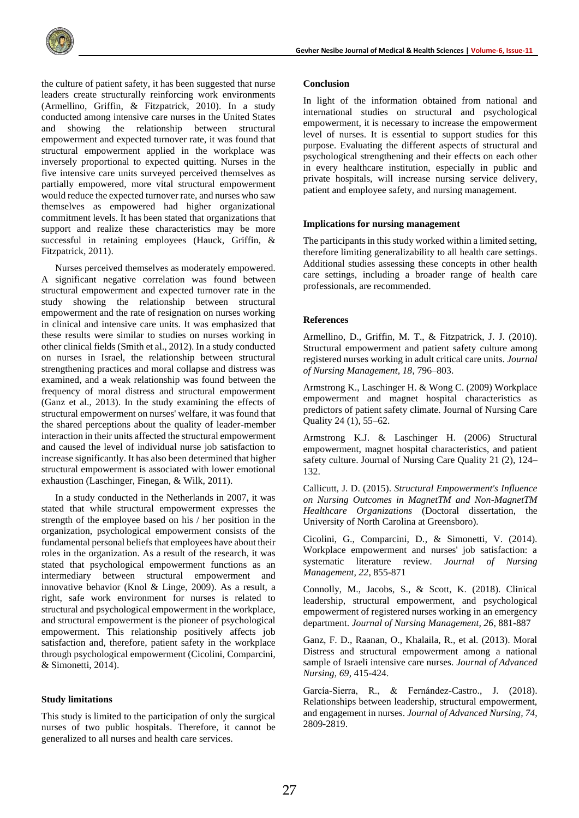

the culture of patient safety, it has been suggested that nurse leaders create structurally reinforcing work environments (Armellino, Griffin, & Fitzpatrick, 2010). In a study conducted among intensive care nurses in the United States and showing the relationship between structural empowerment and expected turnover rate, it was found that structural empowerment applied in the workplace was inversely proportional to expected quitting. Nurses in the five intensive care units surveyed perceived themselves as partially empowered, more vital structural empowerment would reduce the expected turnover rate, and nurses who saw themselves as empowered had higher organizational commitment levels. It has been stated that organizations that support and realize these characteristics may be more successful in retaining employees (Hauck, Griffin, & Fitzpatrick, 2011).

Nurses perceived themselves as moderately empowered. A significant negative correlation was found between structural empowerment and expected turnover rate in the study showing the relationship between structural empowerment and the rate of resignation on nurses working in clinical and intensive care units. It was emphasized that these results were similar to studies on nurses working in other clinical fields (Smith et al., 2012). In a study conducted on nurses in Israel, the relationship between structural strengthening practices and moral collapse and distress was examined, and a weak relationship was found between the frequency of moral distress and structural empowerment (Ganz et al., 2013). In the study examining the effects of structural empowerment on nurses' welfare, it was found that the shared perceptions about the quality of leader-member interaction in their units affected the structural empowerment and caused the level of individual nurse job satisfaction to increase significantly. It has also been determined that higher structural empowerment is associated with lower emotional exhaustion (Laschinger, Finegan, & Wilk, 2011).

In a study conducted in the Netherlands in 2007, it was stated that while structural empowerment expresses the strength of the employee based on his / her position in the organization, psychological empowerment consists of the fundamental personal beliefs that employees have about their roles in the organization. As a result of the research, it was stated that psychological empowerment functions as an intermediary between structural empowerment and innovative behavior (Knol & Linge, 2009). As a result, a right, safe work environment for nurses is related to structural and psychological empowerment in the workplace, and structural empowerment is the pioneer of psychological empowerment. This relationship positively affects job satisfaction and, therefore, patient safety in the workplace through psychological empowerment (Cicolini, Comparcini, & Simonetti, 2014).

#### **Study limitations**

This study is limited to the participation of only the surgical nurses of two public hospitals. Therefore, it cannot be generalized to all nurses and health care services.

#### **Conclusion**

In light of the information obtained from national and international studies on structural and psychological empowerment, it is necessary to increase the empowerment level of nurses. It is essential to support studies for this purpose. Evaluating the different aspects of structural and psychological strengthening and their effects on each other in every healthcare institution, especially in public and private hospitals, will increase nursing service delivery, patient and employee safety, and nursing management.

#### **Implications for nursing management**

The participants in this study worked within a limited setting, therefore limiting generalizability to all health care settings. Additional studies assessing these concepts in other health care settings, including a broader range of health care professionals, are recommended.

#### **References**

Armellino, D., Griffin, M. T., & Fitzpatrick, J. J. (2010). Structural empowerment and patient safety culture among registered nurses working in adult critical care units. *Journal of Nursing Management, 18*, 796–803.

Armstrong K., Laschinger H. & Wong C. (2009) Workplace empowerment and magnet hospital characteristics as predictors of patient safety climate. Journal of Nursing Care Quality 24 (1), 55–62.

Armstrong K.J. & Laschinger H. (2006) Structural empowerment, magnet hospital characteristics, and patient safety culture. Journal of Nursing Care Quality 21 (2), 124– 132.

Callicutt, J. D. (2015). *Structural Empowerment's Influence on Nursing Outcomes in MagnetTM and Non-MagnetTM Healthcare Organizations* (Doctoral dissertation, the University of North Carolina at Greensboro).

Cicolini, G., Comparcini, D., & Simonetti, V. (2014). Workplace empowerment and nurses' job satisfaction: a systematic literature review. *Journal of Nursing Management, 22*, 855-871

Connolly, M., Jacobs, S., & Scott, K. (2018). Clinical leadership, structural empowerment, and psychological empowerment of registered nurses working in an emergency department. *Journal of Nursing Management, 26*, 881-887

Ganz, F. D., Raanan, O., Khalaila, R., et al. (2013). Moral Distress and structural empowerment among a national sample of Israeli intensive care nurses. *Journal of Advanced Nursing, 69*, 415-424.

García-Sierra, R., & Fernández-Castro., J. (2018). Relationships between leadership, structural empowerment, and engagement in nurses. *Journal of Advanced Nursing, 74*, 2809-2819.